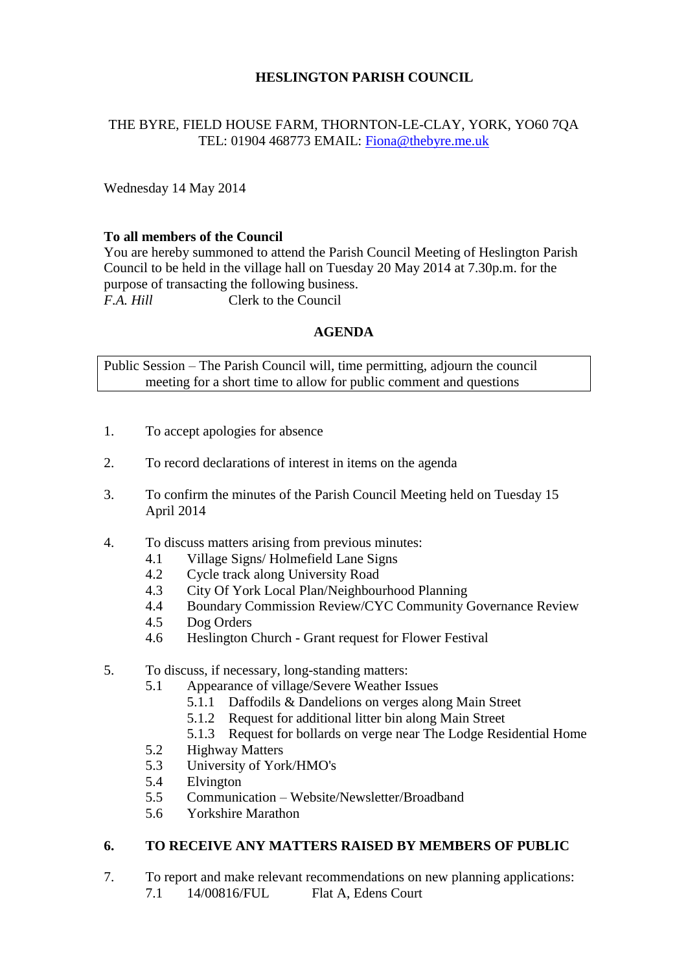## **HESLINGTON PARISH COUNCIL**

## THE BYRE, FIELD HOUSE FARM, THORNTON-LE-CLAY, YORK, YO60 7QA TEL: 01904 468773 EMAIL: [Fiona@thebyre.me.uk](mailto:Fiona@thebyre.me.uk)

Wednesday 14 May 2014

### **To all members of the Council**

You are hereby summoned to attend the Parish Council Meeting of Heslington Parish Council to be held in the village hall on Tuesday 20 May 2014 at 7.30p.m. for the purpose of transacting the following business. *F.A. Hill* Clerk to the Council

#### **AGENDA**

Public Session – The Parish Council will, time permitting, adjourn the council meeting for a short time to allow for public comment and questions

- 1. To accept apologies for absence
- 2. To record declarations of interest in items on the agenda
- 3. To confirm the minutes of the Parish Council Meeting held on Tuesday 15 April 2014
- 4. To discuss matters arising from previous minutes:
	- 4.1 Village Signs/ Holmefield Lane Signs
	- 4.2 Cycle track along University Road
	- 4.3 City Of York Local Plan/Neighbourhood Planning
	- 4.4 Boundary Commission Review/CYC Community Governance Review
	- 4.5 Dog Orders
	- 4.6 Heslington Church Grant request for Flower Festival

### 5. To discuss, if necessary, long-standing matters:

- 5.1 Appearance of village/Severe Weather Issues
	- 5.1.1 Daffodils & Dandelions on verges along Main Street
	- 5.1.2 Request for additional litter bin along Main Street
	- 5.1.3 Request for bollards on verge near The Lodge Residential Home
- 5.2 Highway Matters
- 5.3 University of York/HMO's
- 5.4 Elvington
- 5.5 Communication Website/Newsletter/Broadband
- 5.6 Yorkshire Marathon

## **6. TO RECEIVE ANY MATTERS RAISED BY MEMBERS OF PUBLIC**

7. To report and make relevant recommendations on new planning applications: 7.1 14/00816/FUL Flat A, Edens Court